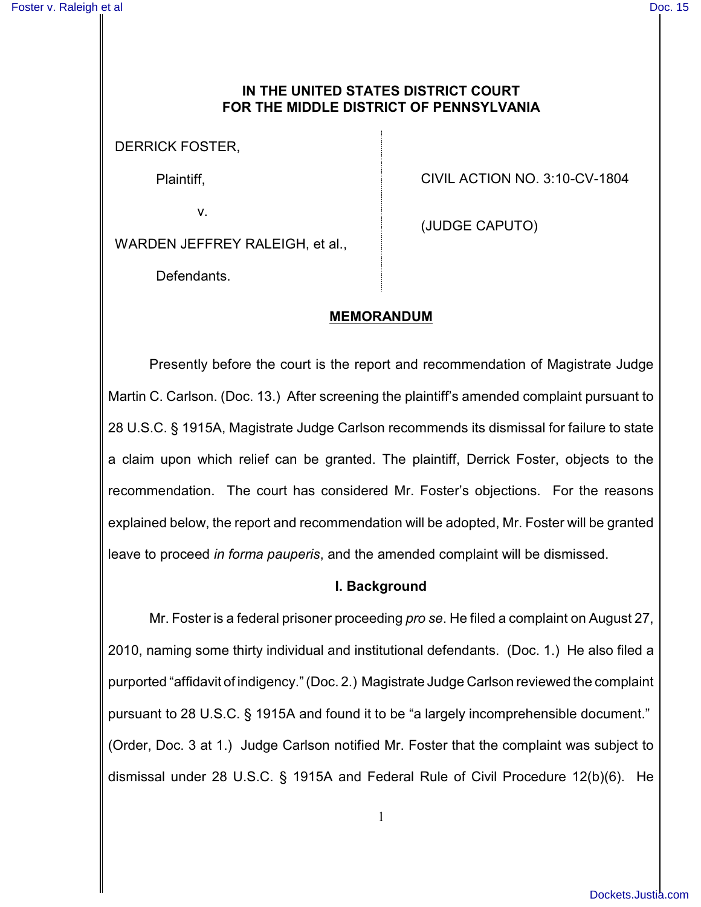### **IN THE UNITED STATES DISTRICT COURT FOR THE MIDDLE DISTRICT OF PENNSYLVANIA**

DERRICK FOSTER,

Plaintiff,

v.

CIVIL ACTION NO. 3:10-CV-1804

WARDEN JEFFREY RALEIGH, et al.,

(JUDGE CAPUTO)

Defendants.

### **MEMORANDUM**

Presently before the court is the report and recommendation of Magistrate Judge Martin C. Carlson. (Doc. 13.) After screening the plaintiff's amended complaint pursuant to 28 U.S.C. § 1915A, Magistrate Judge Carlson recommends its dismissal for failure to state a claim upon which relief can be granted. The plaintiff, Derrick Foster, objects to the recommendation. The court has considered Mr. Foster's objections. For the reasons explained below, the report and recommendation will be adopted, Mr. Foster will be granted leave to proceed *in forma pauperis*, and the amended complaint will be dismissed.

#### **I. Background**

Mr. Foster is a federal prisoner proceeding *pro se*. He filed a complaint on August 27, 2010, naming some thirty individual and institutional defendants. (Doc. 1.) He also filed a purported "affidavit of indigency." (Doc. 2.) Magistrate Judge Carlson reviewed the complaint pursuant to 28 U.S.C. § 1915A and found it to be "a largely incomprehensible document." (Order, Doc. 3 at 1.) Judge Carlson notified Mr. Foster that the complaint was subject to dismissal under 28 U.S.C. § 1915A and Federal Rule of Civil Procedure 12(b)(6). He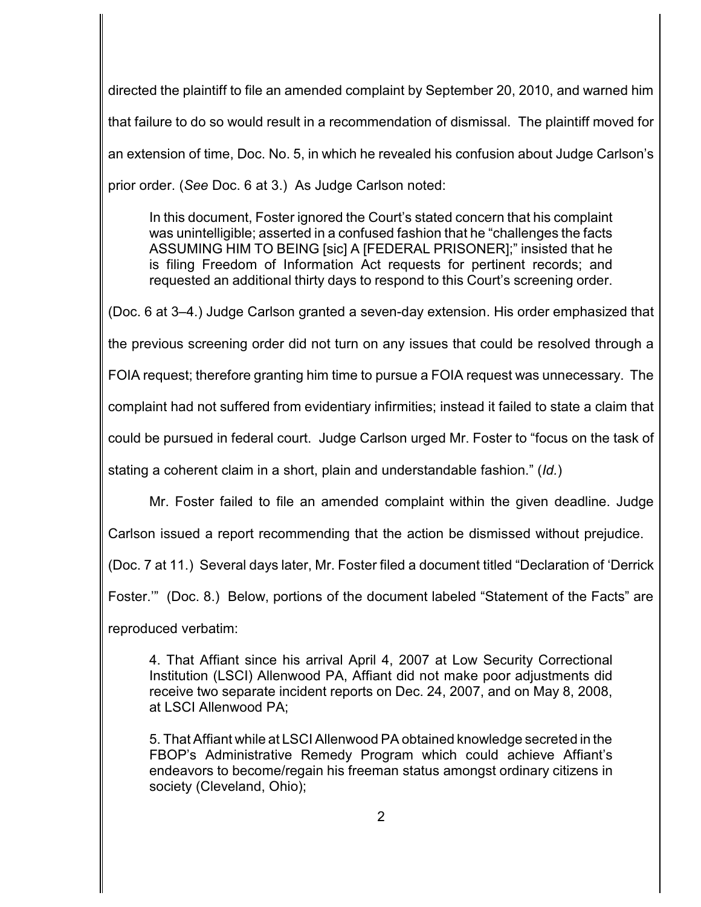directed the plaintiff to file an amended complaint by September 20, 2010, and warned him that failure to do so would result in a recommendation of dismissal. The plaintiff moved for an extension of time, Doc. No. 5, in which he revealed his confusion about Judge Carlson's prior order. (*See* Doc. 6 at 3.) As Judge Carlson noted:

In this document, Foster ignored the Court's stated concern that his complaint was unintelligible; asserted in a confused fashion that he "challenges the facts ASSUMING HIM TO BEING [sic] A [FEDERAL PRISONER];" insisted that he is filing Freedom of Information Act requests for pertinent records; and requested an additional thirty days to respond to this Court's screening order.

(Doc. 6 at 3–4.) Judge Carlson granted a seven-day extension. His order emphasized that

the previous screening order did not turn on any issues that could be resolved through a

FOIA request; therefore granting him time to pursue a FOIA request was unnecessary. The

complaint had not suffered from evidentiary infirmities; instead it failed to state a claim that

could be pursued in federal court. Judge Carlson urged Mr. Foster to "focus on the task of

stating a coherent claim in a short, plain and understandable fashion." (*Id.*)

Mr. Foster failed to file an amended complaint within the given deadline. Judge

Carlson issued a report recommending that the action be dismissed without prejudice.

(Doc. 7 at 11.) Several days later, Mr. Foster filed a document titled "Declaration of 'Derrick

Foster.'" (Doc. 8.) Below, portions of the document labeled "Statement of the Facts" are

reproduced verbatim:

4. That Affiant since his arrival April 4, 2007 at Low Security Correctional Institution (LSCI) Allenwood PA, Affiant did not make poor adjustments did receive two separate incident reports on Dec. 24, 2007, and on May 8, 2008, at LSCI Allenwood PA;

5. That Affiant while at LSCI Allenwood PA obtained knowledge secreted in the FBOP's Administrative Remedy Program which could achieve Affiant's endeavors to become/regain his freeman status amongst ordinary citizens in society (Cleveland, Ohio);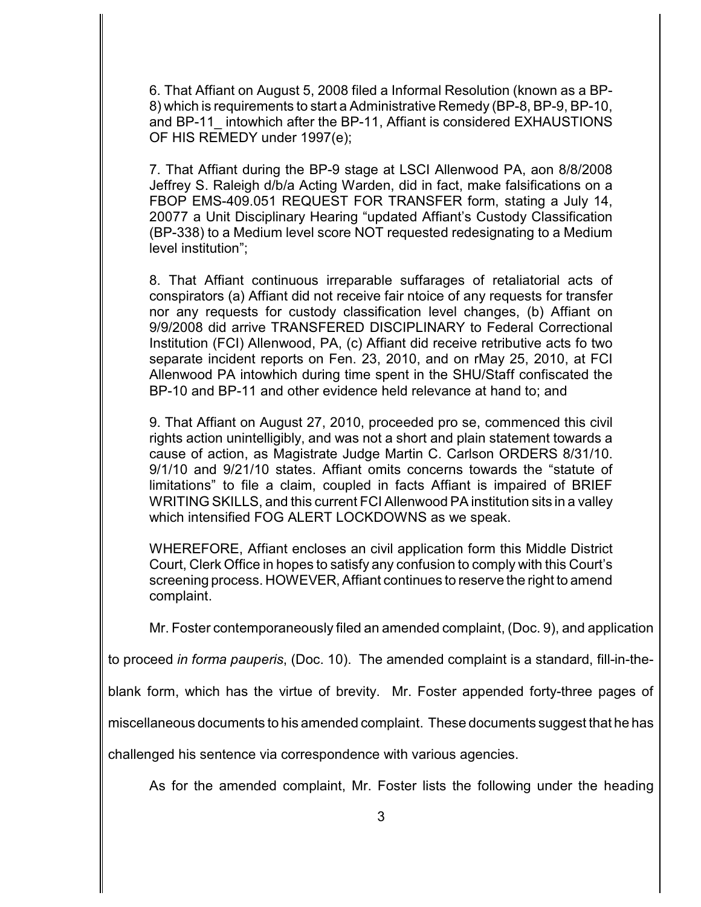6. That Affiant on August 5, 2008 filed a Informal Resolution (known as a BP-8) which is requirements to start a Administrative Remedy (BP-8, BP-9, BP-10, and BP-11 intowhich after the BP-11, Affiant is considered EXHAUSTIONS OF HIS REMEDY under 1997(e);

7. That Affiant during the BP-9 stage at LSCI Allenwood PA, aon 8/8/2008 Jeffrey S. Raleigh d/b/a Acting Warden, did in fact, make falsifications on a FBOP EMS-409.051 REQUEST FOR TRANSFER form, stating a July 14, 20077 a Unit Disciplinary Hearing "updated Affiant's Custody Classification (BP-338) to a Medium level score NOT requested redesignating to a Medium level institution";

8. That Affiant continuous irreparable suffarages of retaliatorial acts of conspirators (a) Affiant did not receive fair ntoice of any requests for transfer nor any requests for custody classification level changes, (b) Affiant on 9/9/2008 did arrive TRANSFERED DISCIPLINARY to Federal Correctional Institution (FCI) Allenwood, PA, (c) Affiant did receive retributive acts fo two separate incident reports on Fen. 23, 2010, and on rMay 25, 2010, at FCI Allenwood PA intowhich during time spent in the SHU/Staff confiscated the BP-10 and BP-11 and other evidence held relevance at hand to; and

9. That Affiant on August 27, 2010, proceeded pro se, commenced this civil rights action unintelligibly, and was not a short and plain statement towards a cause of action, as Magistrate Judge Martin C. Carlson ORDERS 8/31/10. 9/1/10 and 9/21/10 states. Affiant omits concerns towards the "statute of limitations" to file a claim, coupled in facts Affiant is impaired of BRIEF WRITING SKILLS, and this current FCI Allenwood PA institution sits in a valley which intensified FOG ALERT LOCKDOWNS as we speak.

WHEREFORE, Affiant encloses an civil application form this Middle District Court, Clerk Office in hopes to satisfy any confusion to comply with this Court's screening process. HOWEVER, Affiant continues to reserve the right to amend complaint.

Mr. Foster contemporaneously filed an amended complaint, (Doc. 9), and application

to proceed *in forma pauperis*, (Doc. 10). The amended complaint is a standard, fill-in-the-

blank form, which has the virtue of brevity. Mr. Foster appended forty-three pages of

miscellaneous documents to his amended complaint. These documents suggest that he has

challenged his sentence via correspondence with various agencies.

As for the amended complaint, Mr. Foster lists the following under the heading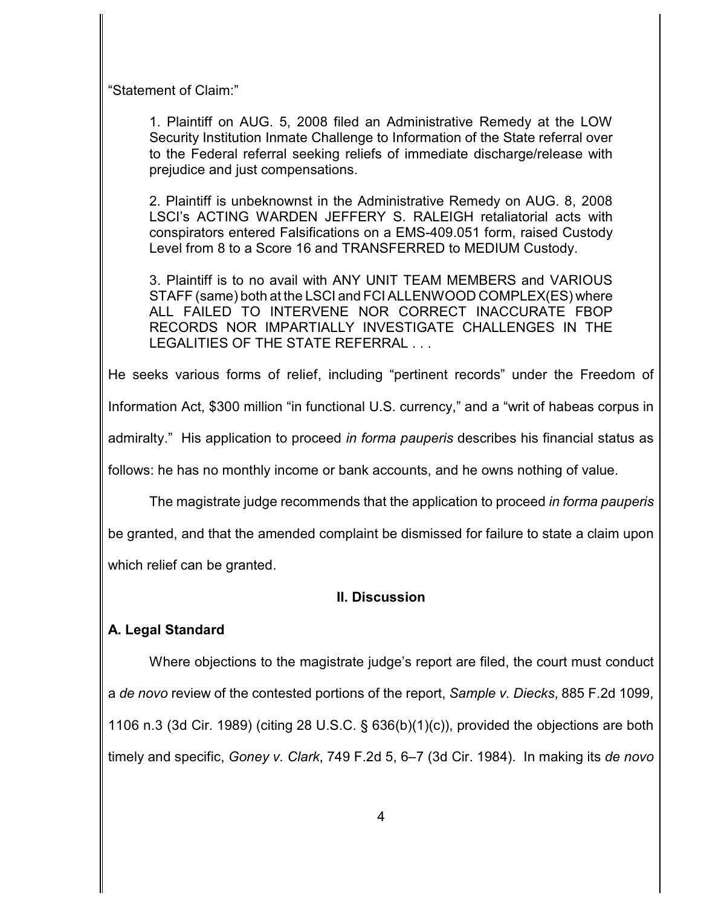"Statement of Claim:"

1. Plaintiff on AUG. 5, 2008 filed an Administrative Remedy at the LOW Security Institution Inmate Challenge to Information of the State referral over to the Federal referral seeking reliefs of immediate discharge/release with prejudice and just compensations.

2. Plaintiff is unbeknownst in the Administrative Remedy on AUG. 8, 2008 LSCI's ACTING WARDEN JEFFERY S. RALEIGH retaliatorial acts with conspirators entered Falsifications on a EMS-409.051 form, raised Custody Level from 8 to a Score 16 and TRANSFERRED to MEDIUM Custody.

3. Plaintiff is to no avail with ANY UNIT TEAM MEMBERS and VARIOUS STAFF (same) both at the LSCI and FCI ALLENWOOD COMPLEX(ES) where ALL FAILED TO INTERVENE NOR CORRECT INACCURATE FBOP RECORDS NOR IMPARTIALLY INVESTIGATE CHALLENGES IN THE LEGALITIES OF THE STATE REFERRAL . . .

He seeks various forms of relief, including "pertinent records" under the Freedom of

Information Act, \$300 million "in functional U.S. currency," and a "writ of habeas corpus in

admiralty." His application to proceed *in forma pauperis* describes his financial status as

follows: he has no monthly income or bank accounts, and he owns nothing of value.

The magistrate judge recommends that the application to proceed *in forma pauperis*

be granted, and that the amended complaint be dismissed for failure to state a claim upon

which relief can be granted.

### **II. Discussion**

# **A. Legal Standard**

Where objections to the magistrate judge's report are filed, the court must conduct a *de novo* review of the contested portions of the report, *Sample v. Diecks*, 885 F.2d 1099, 1106 n.3 (3d Cir. 1989) (citing 28 U.S.C. § 636(b)(1)(c)), provided the objections are both timely and specific, *Goney v. Clark*, 749 F.2d 5, 6–7 (3d Cir. 1984). In making its *de novo*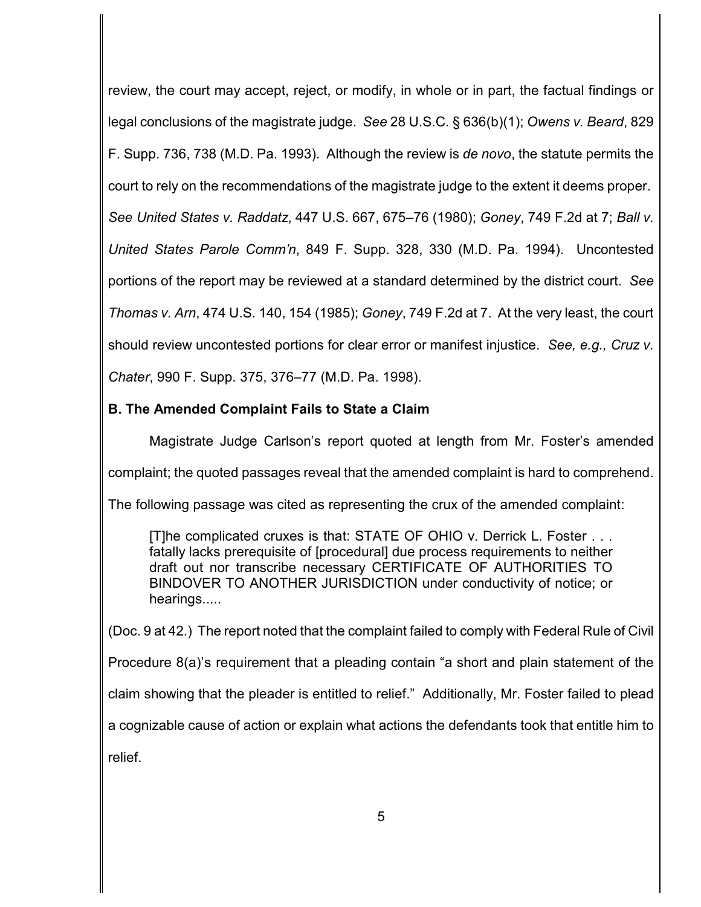review, the court may accept, reject, or modify, in whole or in part, the factual findings or legal conclusions of the magistrate judge. *See* 28 U.S.C. § 636(b)(1); *Owens v. Beard*, 829 F. Supp. 736, 738 (M.D. Pa. 1993). Although the review is *de novo*, the statute permits the court to rely on the recommendations of the magistrate judge to the extent it deems proper. *See United States v. Raddatz*, 447 U.S. 667, 675–76 (1980); *Goney*, 749 F.2d at 7; *Ball v. United States Parole Comm'n*, 849 F. Supp. 328, 330 (M.D. Pa. 1994). Uncontested portions of the report may be reviewed at a standard determined by the district court. *See Thomas v. Arn*, 474 U.S. 140, 154 (1985); *Goney*, 749 F.2d at 7. At the very least, the court should review uncontested portions for clear error or manifest injustice. *See, e.g., Cruz v. Chater*, 990 F. Supp. 375, 376–77 (M.D. Pa. 1998).

### **B. The Amended Complaint Fails to State a Claim**

Magistrate Judge Carlson's report quoted at length from Mr. Foster's amended complaint; the quoted passages reveal that the amended complaint is hard to comprehend. The following passage was cited as representing the crux of the amended complaint:

[T]he complicated cruxes is that: STATE OF OHIO v. Derrick L. Foster . . . fatally lacks prerequisite of [procedural] due process requirements to neither draft out nor transcribe necessary CERTIFICATE OF AUTHORITIES TO BINDOVER TO ANOTHER JURISDICTION under conductivity of notice; or hearings.....

(Doc. 9 at 42.) The report noted that the complaint failed to comply with Federal Rule of Civil

Procedure 8(a)'s requirement that a pleading contain "a short and plain statement of the

claim showing that the pleader is entitled to relief." Additionally, Mr. Foster failed to plead

a cognizable cause of action or explain what actions the defendants took that entitle him to

relief.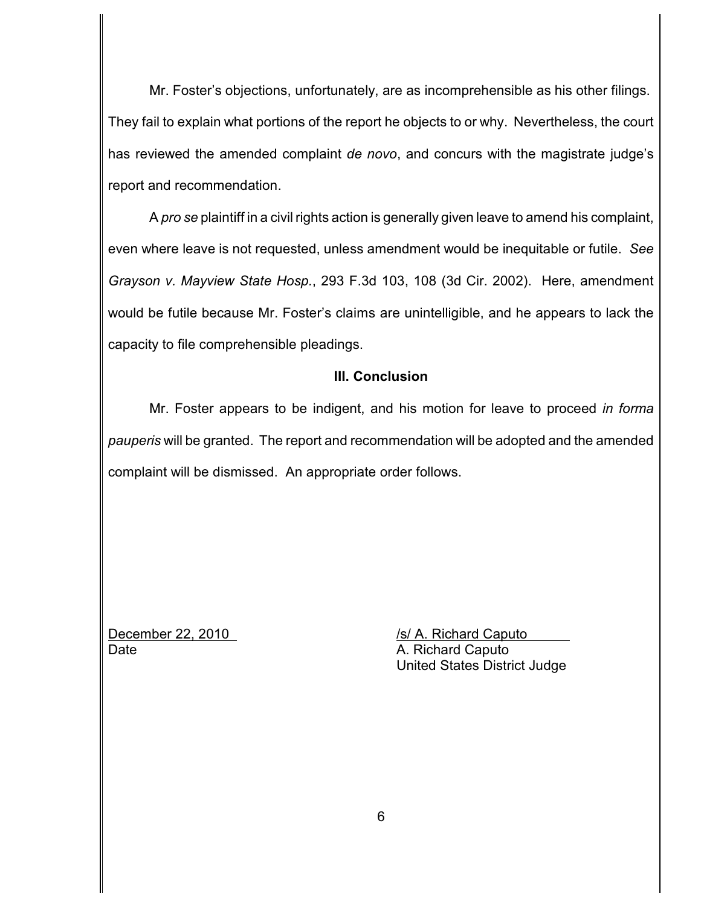Mr. Foster's objections, unfortunately, are as incomprehensible as his other filings. They fail to explain what portions of the report he objects to or why. Nevertheless, the court has reviewed the amended complaint *de novo*, and concurs with the magistrate judge's report and recommendation.

A *pro se* plaintiff in a civil rights action is generally given leave to amend his complaint, even where leave is not requested, unless amendment would be inequitable or futile. *See Grayson v. Mayview State Hosp.*, 293 F.3d 103, 108 (3d Cir. 2002). Here, amendment would be futile because Mr. Foster's claims are unintelligible, and he appears to lack the capacity to file comprehensible pleadings.

### **III. Conclusion**

Mr. Foster appears to be indigent, and his motion for leave to proceed *in forma pauperis* will be granted. The report and recommendation will be adopted and the amended complaint will be dismissed. An appropriate order follows.

Date **Date** A. Richard Caputo

December 22, 2010/s/ A. Richard Caputo United States District Judge